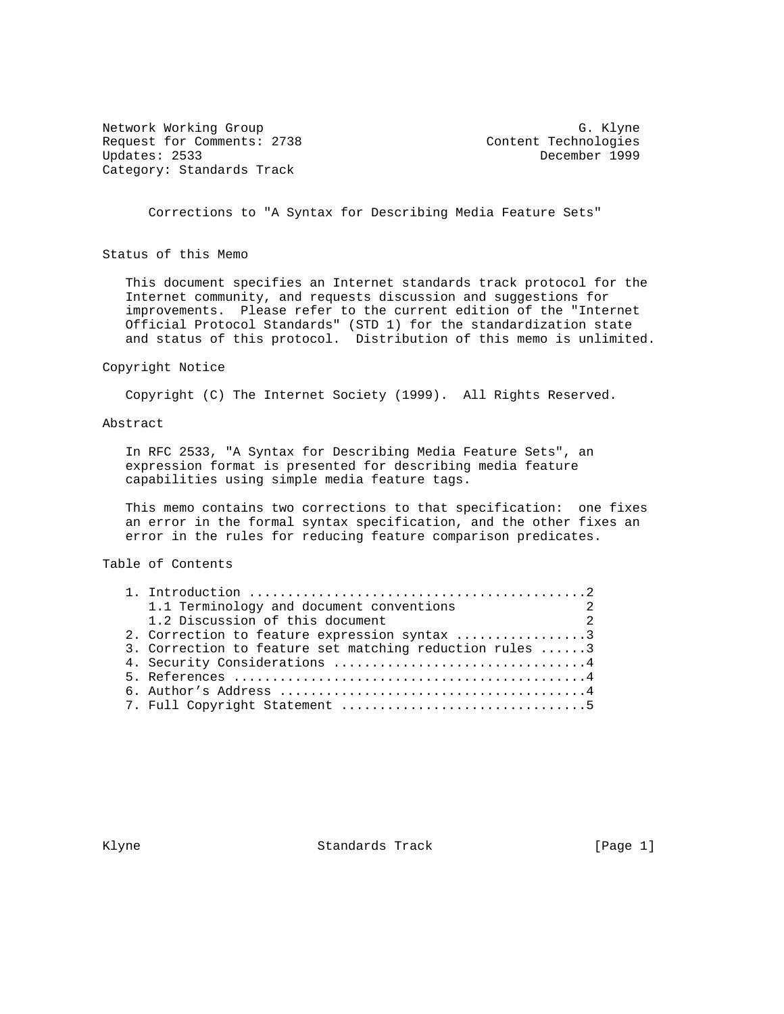Network Working Group Group G. Klyne Request for Comments: 2738 Content Technologies<br>Updates: 2533 December 1999 Category: Standards Track

December 1999

Corrections to "A Syntax for Describing Media Feature Sets"

Status of this Memo

 This document specifies an Internet standards track protocol for the Internet community, and requests discussion and suggestions for improvements. Please refer to the current edition of the "Internet Official Protocol Standards" (STD 1) for the standardization state and status of this protocol. Distribution of this memo is unlimited.

#### Copyright Notice

Copyright (C) The Internet Society (1999). All Rights Reserved.

### Abstract

 In RFC 2533, "A Syntax for Describing Media Feature Sets", an expression format is presented for describing media feature capabilities using simple media feature tags.

 This memo contains two corrections to that specification: one fixes an error in the formal syntax specification, and the other fixes an error in the rules for reducing feature comparison predicates.

## Table of Contents

| 1.1 Terminology and document conventions                |  |
|---------------------------------------------------------|--|
| 1.2 Discussion of this document<br>$\sim$ 2             |  |
| 2. Correction to feature expression syntax 3            |  |
| 3. Correction to feature set matching reduction rules 3 |  |
| 4. Security Considerations 4                            |  |
|                                                         |  |
|                                                         |  |
|                                                         |  |

Klyne **Standards Track** [Page 1]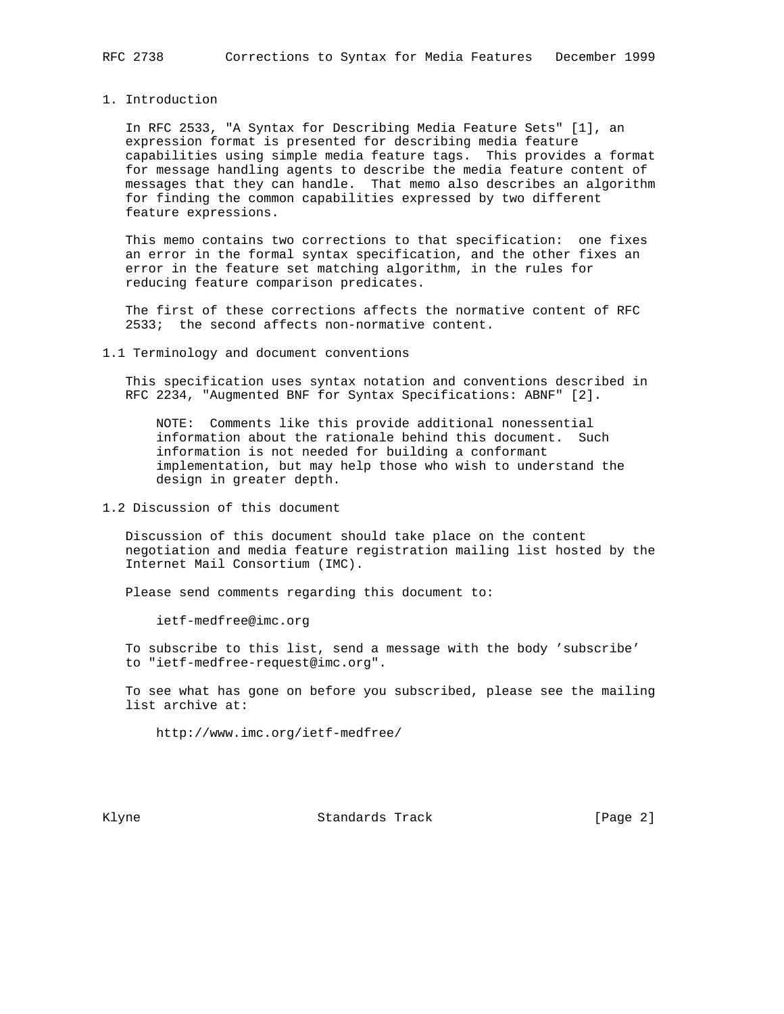### 1. Introduction

 In RFC 2533, "A Syntax for Describing Media Feature Sets" [1], an expression format is presented for describing media feature capabilities using simple media feature tags. This provides a format for message handling agents to describe the media feature content of messages that they can handle. That memo also describes an algorithm for finding the common capabilities expressed by two different feature expressions.

 This memo contains two corrections to that specification: one fixes an error in the formal syntax specification, and the other fixes an error in the feature set matching algorithm, in the rules for reducing feature comparison predicates.

 The first of these corrections affects the normative content of RFC 2533; the second affects non-normative content.

#### 1.1 Terminology and document conventions

 This specification uses syntax notation and conventions described in RFC 2234, "Augmented BNF for Syntax Specifications: ABNF" [2].

 NOTE: Comments like this provide additional nonessential information about the rationale behind this document. Such information is not needed for building a conformant implementation, but may help those who wish to understand the design in greater depth.

1.2 Discussion of this document

 Discussion of this document should take place on the content negotiation and media feature registration mailing list hosted by the Internet Mail Consortium (IMC).

Please send comments regarding this document to:

ietf-medfree@imc.org

 To subscribe to this list, send a message with the body 'subscribe' to "ietf-medfree-request@imc.org".

 To see what has gone on before you subscribed, please see the mailing list archive at:

http://www.imc.org/ietf-medfree/

Klyne **Standards Track** (Page 2)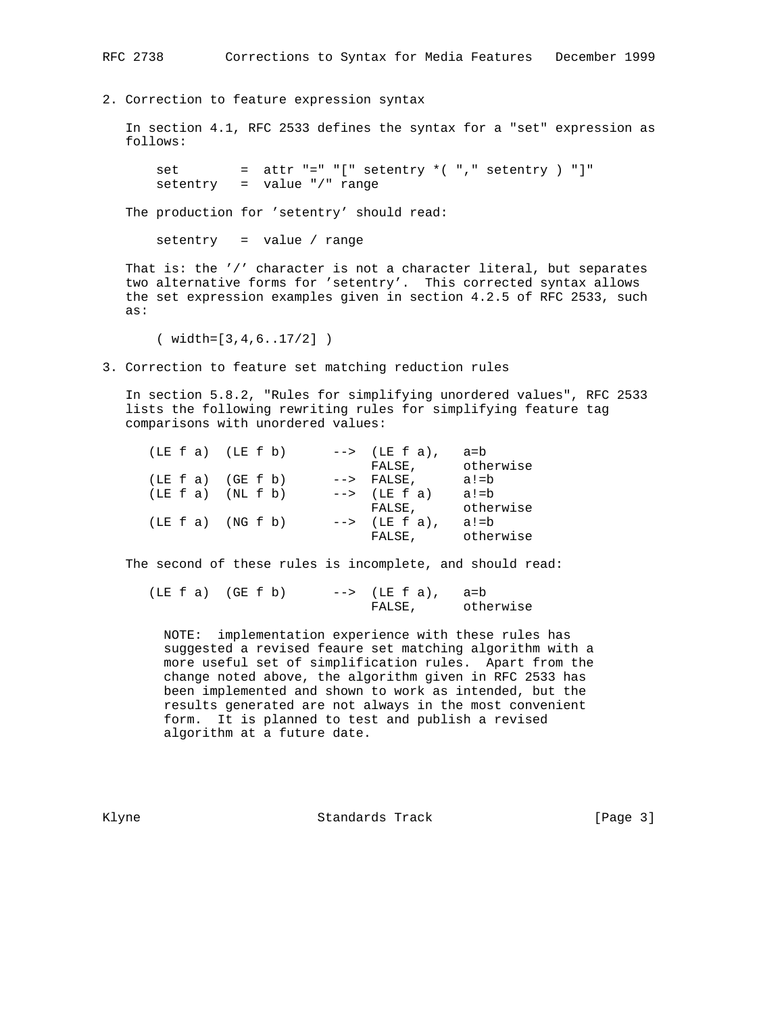RFC 2738 Corrections to Syntax for Media Features December 1999

2. Correction to feature expression syntax

 In section 4.1, RFC 2533 defines the syntax for a "set" expression as follows:

set = attr  $"=" "[' select" = " ' " " set" ' ' , " set" ' = " set" '$ setentry = value "/" range

The production for 'setentry' should read:

setentry = value / range

 That is: the '/' character is not a character literal, but separates two alternative forms for 'setentry'. This corrected syntax allows the set expression examples given in section 4.2.5 of RFC 2533, such as:

( width=[3,4,6..17/2] )

3. Correction to feature set matching reduction rules

 In section 5.8.2, "Rules for simplifying unordered values", RFC 2533 lists the following rewriting rules for simplifying feature tag comparisons with unordered values:

| $(LE f a)$ $(LE f b)$ |  | $\leftarrow$ > (LE f a), | a=b       |
|-----------------------|--|--------------------------|-----------|
|                       |  | FALSE,                   | otherwise |
| $(LE E a)$ $(GE E b)$ |  | $\leftarrow$ > FALSE,    | a!=b      |
| $(LE f a)$ $(NL f b)$ |  | $\leftarrow$ (LE f a)    | $a!=b$    |
|                       |  | FALSE,                   | otherwise |
| $(LE f a)$ $(NG f b)$ |  | $\leftarrow$ > (LE f a), | a!=b      |
|                       |  | FALSE,                   | otherwise |

The second of these rules is incomplete, and should read:

| $(LE f a)$ $(GE f b)$ | $\leftarrow$ > (LE f a), a=b |           |
|-----------------------|------------------------------|-----------|
|                       | FALSE,                       | otherwise |

 NOTE: implementation experience with these rules has suggested a revised feaure set matching algorithm with a more useful set of simplification rules. Apart from the change noted above, the algorithm given in RFC 2533 has been implemented and shown to work as intended, but the results generated are not always in the most convenient form. It is planned to test and publish a revised algorithm at a future date.

Klyne Standards Track [Page 3]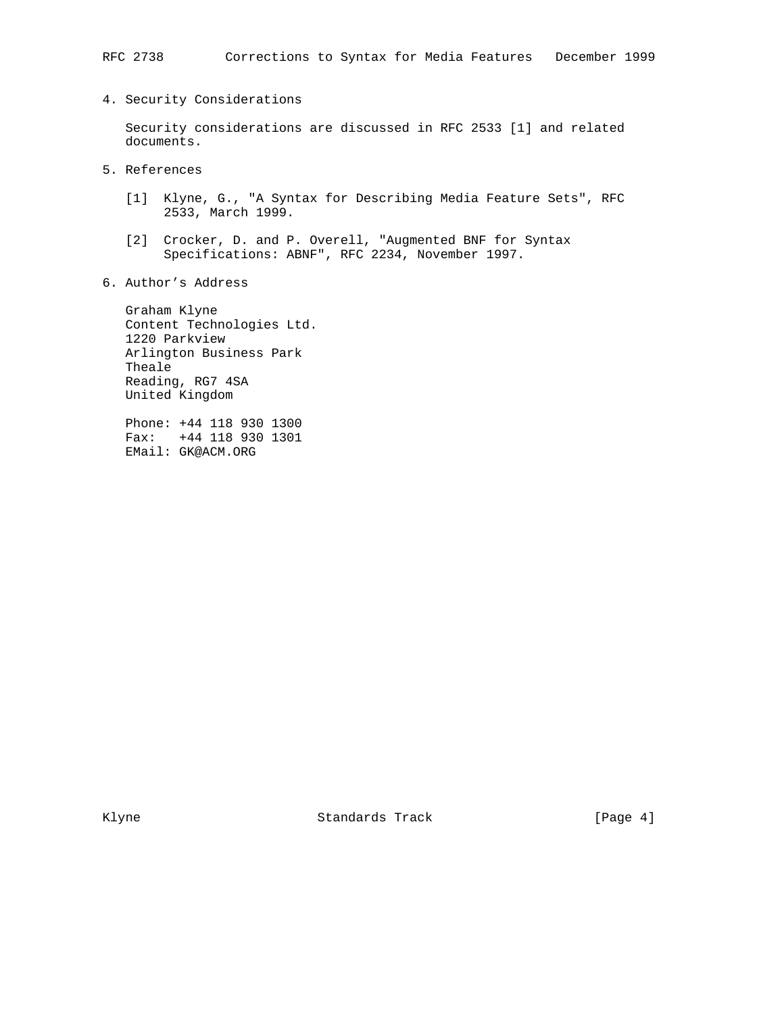### RFC 2738 Corrections to Syntax for Media Features December 1999

## 4. Security Considerations

 Security considerations are discussed in RFC 2533 [1] and related documents.

- 5. References
	- [1] Klyne, G., "A Syntax for Describing Media Feature Sets", RFC 2533, March 1999.
	- [2] Crocker, D. and P. Overell, "Augmented BNF for Syntax Specifications: ABNF", RFC 2234, November 1997.
- 6. Author's Address

 Graham Klyne Content Technologies Ltd. 1220 Parkview Arlington Business Park Theale Reading, RG7 4SA United Kingdom

 Phone: +44 118 930 1300 Fax: +44 118 930 1301 EMail: GK@ACM.ORG

Klyne **Standards Track** [Page 4]